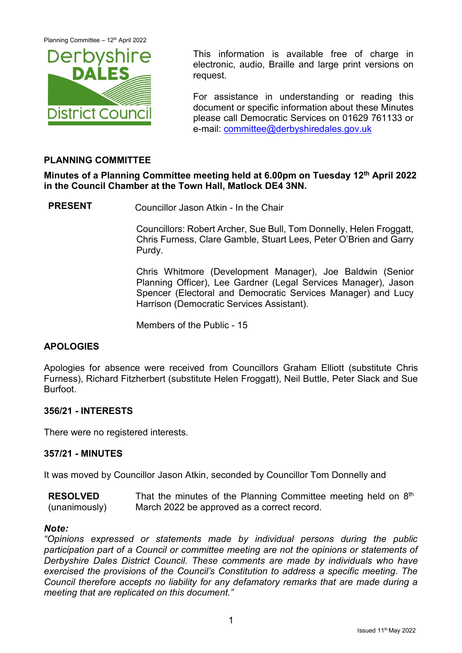

This information is available free of charge in electronic, audio, Braille and large print versions on request.

For assistance in understanding or reading this document or specific information about these Minutes please call Democratic Services on 01629 761133 or e-mail: [committee@derbyshiredales.gov.uk](mailto:committee@derbyshiredales.gov.uk)

# **PLANNING COMMITTEE**

**Minutes of a Planning Committee meeting held at 6.00pm on Tuesday 12th April 2022 in the Council Chamber at the Town Hall, Matlock DE4 3NN.**

**PRESENT** Councillor Jason Atkin - In the Chair

Councillors: Robert Archer, Sue Bull, Tom Donnelly, Helen Froggatt, Chris Furness, Clare Gamble, Stuart Lees, Peter O'Brien and Garry Purdy.

Chris Whitmore (Development Manager), Joe Baldwin (Senior Planning Officer), Lee Gardner (Legal Services Manager), Jason Spencer (Electoral and Democratic Services Manager) and Lucy Harrison (Democratic Services Assistant).

Members of the Public - 15

# **APOLOGIES**

Apologies for absence were received from Councillors Graham Elliott (substitute Chris Furness), Richard Fitzherbert (substitute Helen Froggatt), Neil Buttle, Peter Slack and Sue Burfoot.

### **356/21 - INTERESTS**

There were no registered interests.

### **357/21 - MINUTES**

It was moved by Councillor Jason Atkin, seconded by Councillor Tom Donnelly and

**RESOLVED** (unanimously) That the minutes of the Planning Committee meeting held on  $8<sup>th</sup>$ March 2022 be approved as a correct record.

### *Note:*

*"Opinions expressed or statements made by individual persons during the public participation part of a Council or committee meeting are not the opinions or statements of Derbyshire Dales District Council. These comments are made by individuals who have exercised the provisions of the Council's Constitution to address a specific meeting. The Council therefore accepts no liability for any defamatory remarks that are made during a meeting that are replicated on this document."*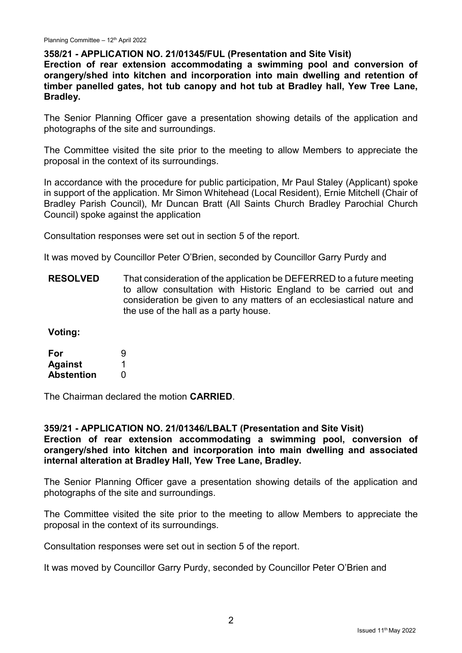## **358/21 - APPLICATION NO. 21/01345/FUL (Presentation and Site Visit)**

**Erection of rear extension accommodating a swimming pool and conversion of orangery/shed into kitchen and incorporation into main dwelling and retention of timber panelled gates, hot tub canopy and hot tub at Bradley hall, Yew Tree Lane, Bradley.**

The Senior Planning Officer gave a presentation showing details of the application and photographs of the site and surroundings.

The Committee visited the site prior to the meeting to allow Members to appreciate the proposal in the context of its surroundings.

In accordance with the procedure for public participation, Mr Paul Staley (Applicant) spoke in support of the application. Mr Simon Whitehead (Local Resident), Ernie Mitchell (Chair of Bradley Parish Council), Mr Duncan Bratt (All Saints Church Bradley Parochial Church Council) spoke against the application

Consultation responses were set out in section 5 of the report.

It was moved by Councillor Peter O'Brien, seconded by Councillor Garry Purdy and

**RESOLVED** That consideration of the application be DEFERRED to a future meeting to allow consultation with Historic England to be carried out and consideration be given to any matters of an ecclesiastical nature and the use of the hall as a party house.

**Voting:**

| For               | 9 |
|-------------------|---|
| <b>Against</b>    |   |
| <b>Abstention</b> | O |

The Chairman declared the motion **CARRIED**.

### **359/21 - APPLICATION NO. 21/01346/LBALT (Presentation and Site Visit) Erection of rear extension accommodating a swimming pool, conversion of orangery/shed into kitchen and incorporation into main dwelling and associated internal alteration at Bradley Hall, Yew Tree Lane, Bradley.**

The Senior Planning Officer gave a presentation showing details of the application and photographs of the site and surroundings.

The Committee visited the site prior to the meeting to allow Members to appreciate the proposal in the context of its surroundings.

Consultation responses were set out in section 5 of the report.

It was moved by Councillor Garry Purdy, seconded by Councillor Peter O'Brien and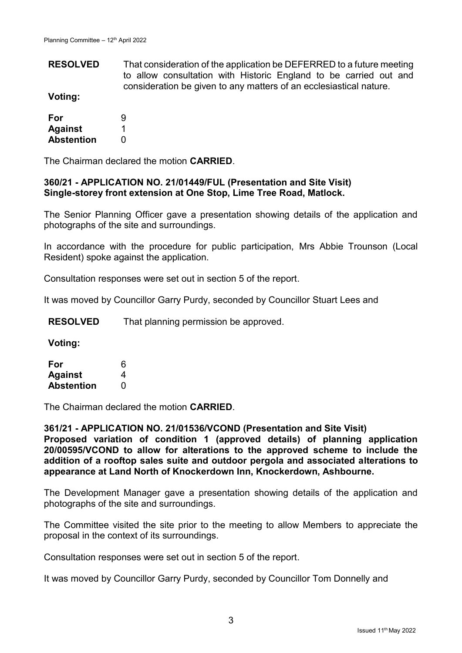**RESOLVED** That consideration of the application be DEFERRED to a future meeting to allow consultation with Historic England to be carried out and consideration be given to any matters of an ecclesiastical nature.

**Voting:**

| For               | 9 |
|-------------------|---|
| <b>Against</b>    |   |
| <b>Abstention</b> | O |

The Chairman declared the motion **CARRIED**.

## **360/21 - APPLICATION NO. 21/01449/FUL (Presentation and Site Visit) Single-storey front extension at One Stop, Lime Tree Road, Matlock.**

The Senior Planning Officer gave a presentation showing details of the application and photographs of the site and surroundings.

In accordance with the procedure for public participation, Mrs Abbie Trounson (Local Resident) spoke against the application.

Consultation responses were set out in section 5 of the report.

It was moved by Councillor Garry Purdy, seconded by Councillor Stuart Lees and

**RESOLVED** That planning permission be approved.

**Voting:**

| For               | 6 |
|-------------------|---|
| <b>Against</b>    | 4 |
| <b>Abstention</b> | O |

The Chairman declared the motion **CARRIED**.

**361/21 - APPLICATION NO. 21/01536/VCOND (Presentation and Site Visit) Proposed variation of condition 1 (approved details) of planning application 20/00595/VCOND to allow for alterations to the approved scheme to include the addition of a rooftop sales suite and outdoor pergola and associated alterations to appearance at Land North of Knockerdown Inn, Knockerdown, Ashbourne.**

The Development Manager gave a presentation showing details of the application and photographs of the site and surroundings.

The Committee visited the site prior to the meeting to allow Members to appreciate the proposal in the context of its surroundings.

Consultation responses were set out in section 5 of the report.

It was moved by Councillor Garry Purdy, seconded by Councillor Tom Donnelly and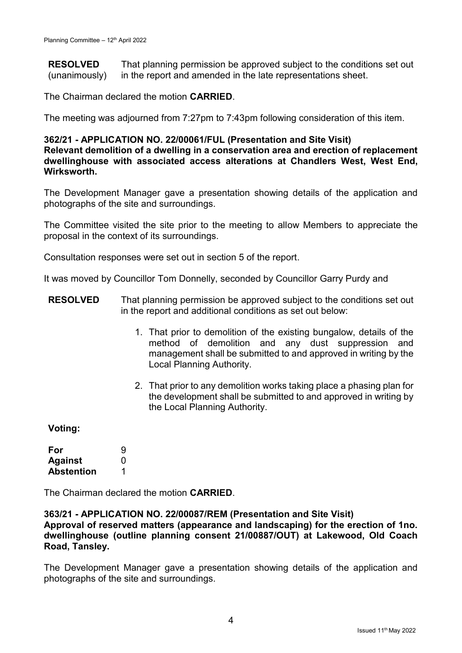**RESOLVED** (unanimously) That planning permission be approved subject to the conditions set out in the report and amended in the late representations sheet.

The Chairman declared the motion **CARRIED**.

The meeting was adjourned from 7:27pm to 7:43pm following consideration of this item.

#### **362/21 - APPLICATION NO. 22/00061/FUL (Presentation and Site Visit) Relevant demolition of a dwelling in a conservation area and erection of replacement dwellinghouse with associated access alterations at Chandlers West, West End, Wirksworth.**

The Development Manager gave a presentation showing details of the application and photographs of the site and surroundings.

The Committee visited the site prior to the meeting to allow Members to appreciate the proposal in the context of its surroundings.

Consultation responses were set out in section 5 of the report.

It was moved by Councillor Tom Donnelly, seconded by Councillor Garry Purdy and

- **RESOLVED** That planning permission be approved subject to the conditions set out in the report and additional conditions as set out below:
	- 1. That prior to demolition of the existing bungalow, details of the method of demolition and any dust suppression and management shall be submitted to and approved in writing by the Local Planning Authority.
	- 2. That prior to any demolition works taking place a phasing plan for the development shall be submitted to and approved in writing by the Local Planning Authority.

**Voting:**

| For               | 9 |
|-------------------|---|
| <b>Against</b>    | O |
| <b>Abstention</b> |   |

The Chairman declared the motion **CARRIED**.

### **363/21 - APPLICATION NO. 22/00087/REM (Presentation and Site Visit) Approval of reserved matters (appearance and landscaping) for the erection of 1no. dwellinghouse (outline planning consent 21/00887/OUT) at Lakewood, Old Coach Road, Tansley.**

The Development Manager gave a presentation showing details of the application and photographs of the site and surroundings.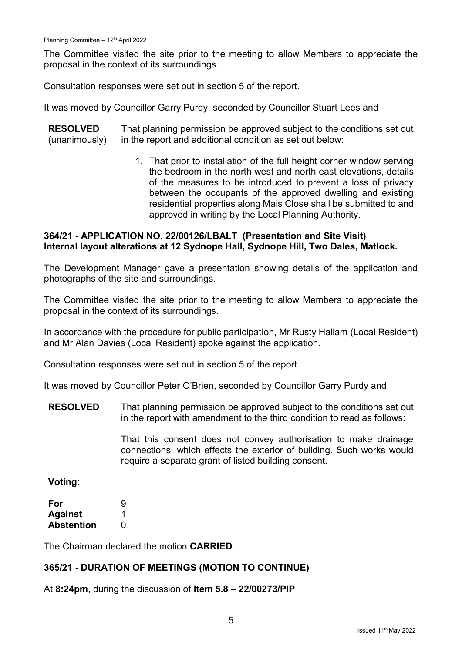The Committee visited the site prior to the meeting to allow Members to appreciate the proposal in the context of its surroundings.

Consultation responses were set out in section 5 of the report.

It was moved by Councillor Garry Purdy, seconded by Councillor Stuart Lees and

**RESOLVED** (unanimously) That planning permission be approved subject to the conditions set out in the report and additional condition as set out below:

> 1. That prior to installation of the full height corner window serving the bedroom in the north west and north east elevations, details of the measures to be introduced to prevent a loss of privacy between the occupants of the approved dwelling and existing residential properties along Mais Close shall be submitted to and approved in writing by the Local Planning Authority.

# **364/21 - APPLICATION NO. 22/00126/LBALT (Presentation and Site Visit) Internal layout alterations at 12 Sydnope Hall, Sydnope Hill, Two Dales, Matlock.**

The Development Manager gave a presentation showing details of the application and photographs of the site and surroundings.

The Committee visited the site prior to the meeting to allow Members to appreciate the proposal in the context of its surroundings.

In accordance with the procedure for public participation, Mr Rusty Hallam (Local Resident) and Mr Alan Davies (Local Resident) spoke against the application.

Consultation responses were set out in section 5 of the report.

It was moved by Councillor Peter O'Brien, seconded by Councillor Garry Purdy and

**RESOLVED** That planning permission be approved subject to the conditions set out in the report with amendment to the third condition to read as follows:

> That this consent does not convey authorisation to make drainage connections, which effects the exterior of building. Such works would require a separate grant of listed building consent.

**Voting:**

| For               | 9 |
|-------------------|---|
| <b>Against</b>    |   |
| <b>Abstention</b> | O |

The Chairman declared the motion **CARRIED**.

# **365/21 - DURATION OF MEETINGS (MOTION TO CONTINUE)**

At **8:24pm**, during the discussion of **Item 5.8 – 22/00273/PIP**